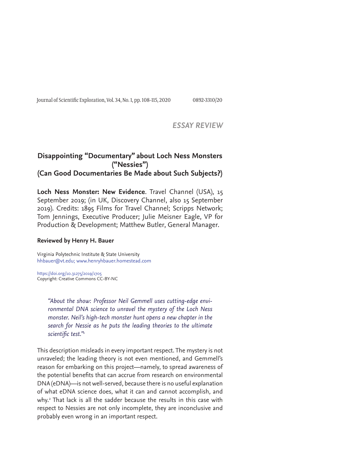Journal of Scientific Exploration, Vol. 34, No. 1, pp. 108-115, 2020 0892-3310/20

### *ESSAY REVIEW*

# **Disappointing "Documentary" about Loch Ness Monsters ("Nessies") (Can Good Documentaries Be Made about Such Subjects?)**

**Loch Ness Monster: New Evidence**. Travel Channel (USA), 15 September 2019; (in UK, Discovery Channel, also 15 September 2019). Credits: 1895 Films for Travel Channel; Scripps Network; Tom Jennings, Executive Producer; Julie Meisner Eagle, VP for Production & Development; Matthew Butler, General Manager.

#### **Reviewed by Henry H. Bauer**

Virginia Polytechnic Institute & State University hhbauer@vt.edu; www.henryhbauer.homestead.com

https://doi.org/10.31275/2019/1705 Copyright: Creative Commons CC-BY-NC

> *"About the show: Professor Neil Gemmell uses cutting-edge environmental DNA science to unravel the mystery of the Loch Ness monster. Neil's high-tech monster hunt opens a new chapter in the search for Nessie as he puts the leading theories to the ultimate scientific test."<sup>1</sup>*

This description misleads in every important respect. The mystery is not unraveled; the leading theory is not even mentioned, and Gemmell's reason for embarking on this project—namely, to spread awareness of the potential benefits that can accrue from research on environmental DNA (eDNA)—is not well-served, because there is no useful explanation of what eDNA science does, what it can and cannot accomplish, and why.2 That lack is all the sadder because the results in this case with respect to Nessies are not only incomplete, they are inconclusive and probably even wrong in an important respect.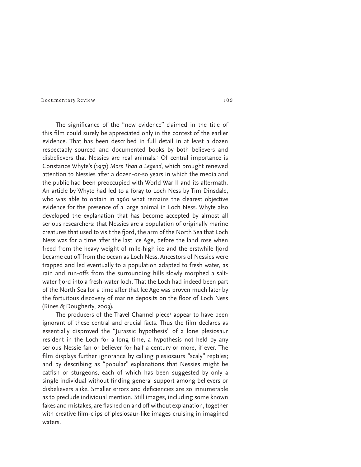The significance of the "new evidence" claimed in the title of this film could surely be appreciated only in the context of the earlier evidence. That has been described in full detail in at least a dozen respectably sourced and documented books by both believers and disbelievers that Nessies are real animals.3 Of central importance is Constance Whyte's (1957) *More Than a Legend*, which brought renewed attention to Nessies after a dozen-or-so years in which the media and the public had been preoccupied with World War II and its aftermath. An article by Whyte had led to a foray to Loch Ness by Tim Dinsdale, who was able to obtain in 1960 what remains the clearest objective evidence for the presence of a large animal in Loch Ness. Whyte also developed the explanation that has become accepted by almost all serious researchers: that Nessies are a population of originally marine creatures that used to visit the fjord, the arm of the North Sea that Loch Ness was for a time after the last Ice Age, before the land rose when freed from the heavy weight of mile-high ice and the erstwhile fjord became cut off from the ocean as Loch Ness. Ancestors of Nessies were trapped and led eventually to a population adapted to fresh water, as rain and run-offs from the surrounding hills slowly morphed a saltwater fjord into a fresh-water loch. That the Loch had indeed been part of the North Sea for a time after that Ice Age was proven much later by the fortuitous discovery of marine deposits on the floor of Loch Ness (Rines & Dougherty, 2003).

The producers of the Travel Channel piece<sup>4</sup> appear to have been ignorant of these central and crucial facts. Thus the film declares as essentially disproved the "Jurassic hypothesis" of a lone plesiosaur resident in the Loch for a long time, a hypothesis not held by any serious Nessie fan or believer for half a century or more, if ever. The film displays further ignorance by calling plesiosaurs "scaly" reptiles; and by describing as "popular" explanations that Nessies might be catfish or sturgeons, each of which has been suggested by only a single individual without finding general support among believers or disbelievers alike. Smaller errors and deficiencies are so innumerable as to preclude individual mention. Still images, including some known fakes and mistakes, are flashed on and off without explanation, together with creative film-clips of plesiosaur-like images cruising in imagined waters.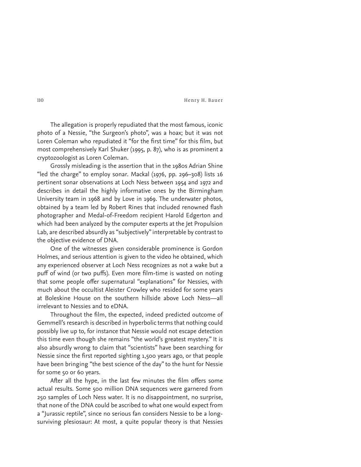110 Henry H. Bauer

The allegation is properly repudiated that the most famous, iconic photo of a Nessie, "the Surgeon's photo", was a hoax; but it was not Loren Coleman who repudiated it "for the first time" for this film, but most comprehensively Karl Shuker (1995, p. 87), who is as prominent a cryptozoologist as Loren Coleman.

Grossly misleading is the assertion that in the 1980s Adrian Shine "led the charge" to employ sonar. Mackal (1976, pp. 296–308) lists 16 pertinent sonar observations at Loch Ness between 1954 and 1972 and describes in detail the highly informative ones by the Birmingham University team in 1968 and by Love in 1969. The underwater photos, obtained by a team led by Robert Rines that included renowned flash photographer and Medal-of-Freedom recipient Harold Edgerton and which had been analyzed by the computer experts at the Jet Propulsion Lab, are described absurdly as "subjectively" interpretable by contrast to the objective evidence of DNA.

One of the witnesses given considerable prominence is Gordon Holmes, and serious attention is given to the video he obtained, which any experienced observer at Loch Ness recognizes as not a wake but a puff of wind (or two puffs). Even more film-time is wasted on noting that some people offer supernatural "explanations" for Nessies, with much about the occultist Aleister Crowley who resided for some years at Boleskine House on the southern hillside above Loch Ness—all irrelevant to Nessies and to eDNA.

Throughout the film, the expected, indeed predicted outcome of Gemmell's research is described in hyperbolic terms that nothing could possibly live up to, for instance that Nessie would not escape detection this time even though she remains "the world's greatest mystery." It is also absurdly wrong to claim that "scientists" have been searching for Nessie since the first reported sighting 1,500 years ago, or that people have been bringing "the best science of the day" to the hunt for Nessie for some 50 or 60 years.

After all the hype, in the last few minutes the film offers some actual results. Some 500 million DNA sequences were garnered from 250 samples of Loch Ness water. It is no disappointment, no surprise, that none of the DNA could be ascribed to what one would expect from a "Jurassic reptile", since no serious fan considers Nessie to be a longsurviving plesiosaur: At most, a quite popular theory is that Nessies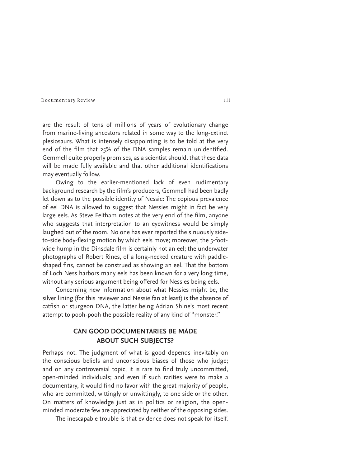are the result of tens of millions of years of evolutionary change from marine-living ancestors related in some way to the long-extinct plesiosaurs. What is intensely disappointing is to be told at the very end of the film that  $25\%$  of the DNA samples remain unidentified. Gemmell quite properly promises, as a scientist should, that these data will be made fully available and that other additional identifications may eventually follow.

Owing to the earlier-mentioned lack of even rudimentary background research by the film's producers, Gemmell had been badly let down as to the possible identity of Nessie: The copious prevalence of eel DNA is allowed to suggest that Nessies might in fact be very large eels. As Steve Feltham notes at the very end of the film, anyone who suggests that interpretation to an eyewitness would be simply laughed out of the room. No one has ever reported the sinuously sideto-side body-flexing motion by which eels move; moreover, the 5-footwide hump in the Dinsdale film is certainly not an eel; the underwater photographs of Robert Rines, of a long-necked creature with paddleshaped fins, cannot be construed as showing an eel. That the bottom of Loch Ness harbors many eels has been known for a very long time, without any serious argument being offered for Nessies being eels.

Concerning new information about what Nessies might be, the silver lining (for this reviewer and Nessie fan at least) is the absence of catfish or sturgeon DNA, the latter being Adrian Shine's most recent attempt to pooh-pooh the possible reality of any kind of "monster."

## **CAN GOOD DOCUMENTARIES BE MADE ABOUT SUCH SUBJECTS?**

Perhaps not. The judgment of what is good depends inevitably on the conscious beliefs and unconscious biases of those who judge; and on any controversial topic, it is rare to find truly uncommitted, open-minded individuals; and even if such rarities were to make a documentary, it would find no favor with the great majority of people, who are committed, wittingly or unwittingly, to one side or the other. On matters of knowledge just as in politics or religion, the openminded moderate few are appreciated by neither of the opposing sides.

The inescapable trouble is that evidence does not speak for itself.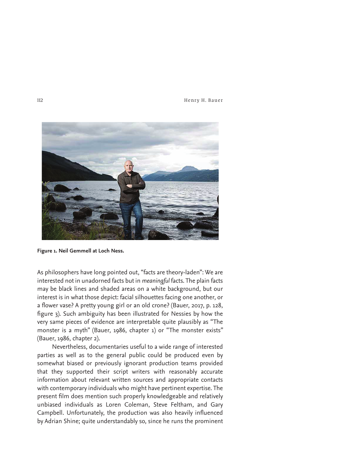112 Henry H. Bauer



**Figure 1. Neil Gemmell at Loch Ness.**

As philosophers have long pointed out, "facts are theory-laden": We are interested not in unadorned facts but in *meaningful* facts. The plain facts may be black lines and shaded areas on a white background, but our interest is in what those depict: facial silhouettes facing one another, or a flower vase? A pretty young girl or an old crone? (Bauer, 2017, p. 128, figure 3). Such ambiguity has been illustrated for Nessies by how the very same pieces of evidence are interpretable quite plausibly as "The monster is a myth" (Bauer, 1986, chapter 1) or "The monster exists" (Bauer, 1986, chapter 2).

 Nevertheless, documentaries useful to a wide range of interested parties as well as to the general public could be produced even by somewhat biased or previously ignorant production teams provided that they supported their script writers with reasonably accurate information about relevant written sources and appropriate contacts with contemporary individuals who might have pertinent expertise. The present film does mention such properly knowledgeable and relatively unbiased individuals as Loren Coleman, Steve Feltham, and Gary Campbell. Unfortunately, the production was also heavily influenced by Adrian Shine; quite understandably so, since he runs the prominent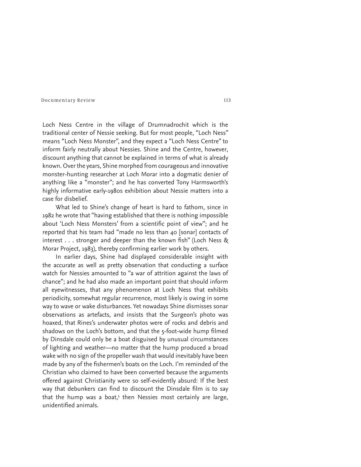Loch Ness Centre in the village of Drumnadrochit which is the traditional center of Nessie seeking. But for most people, "Loch Ness" means "Loch Ness Monster", and they expect a "Loch Ness Centre" to inform fairly neutrally about Nessies. Shine and the Centre, however, discount anything that cannot be explained in terms of what is already known. Over the years, Shine morphed from courageous and innovative monster-hunting researcher at Loch Morar into a dogmatic denier of anything like a "monster"; and he has converted Tony Harmsworth's highly informative early-1980s exhibition about Nessie matters into a case for disbelief.

What led to Shine's change of heart is hard to fathom, since in 1982 he wrote that "having established that there is nothing impossible about 'Loch Ness Monsters' from a scientific point of view"; and he reported that his team had "made no less than 40 [sonar] contacts of interest . . . stronger and deeper than the known fish" (Loch Ness  $\&$ Morar Project, 1983), thereby confirming earlier work by others.

In earlier days, Shine had displayed considerable insight with the accurate as well as pretty observation that conducting a surface watch for Nessies amounted to "a war of attrition against the laws of chance"; and he had also made an important point that should inform all eyewitnesses, that any phenomenon at Loch Ness that exhibits periodicity, somewhat regular recurrence, most likely is owing in some way to wave or wake disturbances. Yet nowadays Shine dismisses sonar observations as artefacts, and insists that the Surgeon's photo was hoaxed, that Rines's underwater photos were of rocks and debris and shadows on the Loch's bottom, and that the 5-foot-wide hump filmed by Dinsdale could only be a boat disguised by unusual circumstances of lighting and weather—no matter that the hump produced a broad wake with no sign of the propeller wash that would inevitably have been made by any of the fishermen's boats on the Loch. I'm reminded of the Christian who claimed to have been converted because the arguments offered against Christianity were so self-evidently absurd: If the best way that debunkers can find to discount the Dinsdale film is to say that the hump was a boat,<sup>5</sup> then Nessies most certainly are large, unidentified animals.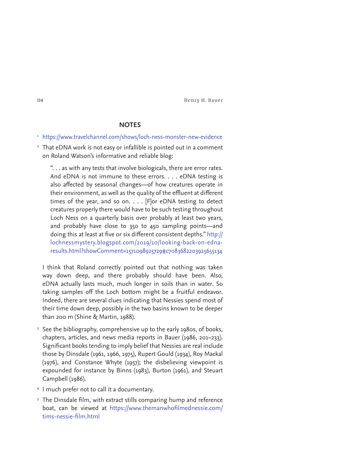114 Henry H. Bauer

### **NOTES**

- <sup>1</sup> https://www.travelchannel.com/shows/loch-ness-monster-new-evidence
- <sup>2</sup> That eDNA work is not easy or infallible is pointed out in a comment on Roland Watson's informative and reliable blog:

 ". . . as with any tests that involve biologicals, there are error rates. And eDNA is not immune to these errors. . . . eDNA testing is also affected by seasonal changes—of how creatures operate in their environment, as well as the quality of the effluent at different times of the year, and so on. . . . [F]or eDNA testing to detect creatures properly there would have to be such testing throughout Loch Ness on a quarterly basis over probably at least two years, and probably have close to 350 to 450 sampling points—and doing this at least at five or six different consistent depths." http:// lochnessmystery.blogspot.com/2019/10/looking-back-on-ednaresults.html?showComment=1571098925729#c7083682203925655134

 I think that Roland correctly pointed out that nothing was taken way down deep, and there probably should have been. Also, eDNA actually lasts much, much longer in soils than in water. So taking samples off the Loch bottom might be a fruitful endeavor. Indeed, there are several clues indicating that Nessies spend most of their time down deep, possibly in the two basins known to be deeper than 200 m (Shine & Martin, 1988).

- <sup>3</sup> See the bibliography, comprehensive up to the early 1980s, of books, chapters, articles, and news media reports in Bauer (1986, 201–233). Significant books tending to imply belief that Nessies are real include those by Dinsdale (1961, 1966, 1975), Rupert Gould (1934), Roy Mackal (1976), and Constance Whyte (1957); the disbelieving viewpoint is expounded for instance by Binns (1983), Burton (1961), and Steuart Campbell (1986).
- 4 I much prefer not to call it a documentary.
- <sup>5</sup> The Dinsdale film, with extract stills comparing hump and reference boat, can be viewed at https://www.themanwhofilmednessie.com/ tims-nessie-film.html